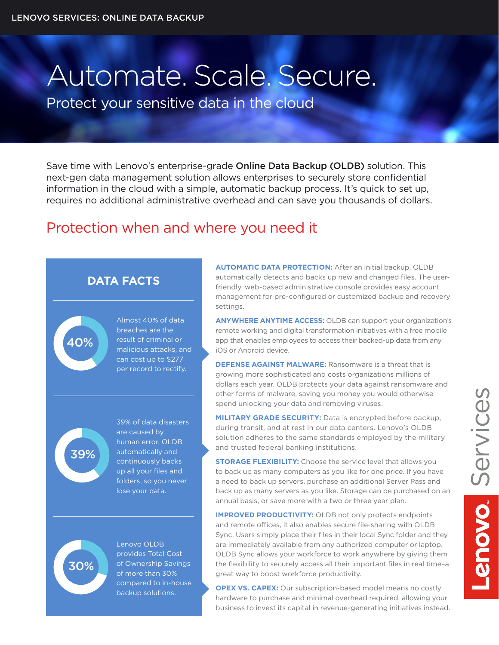## Automate. Scale. Secure.

Protect your sensitive data in the cloud

Save time with Lenovo's enterprise-grade Online Data Backup (OLDB) solution. This next-gen data management solution allows enterprises to securely store confidential information in the cloud with a simple, automatic backup process. It's quick to set up, requires no additional administrative overhead and can save you thousands of dollars.

## Protection when and where you need it





Lenovo OLDB provides Total Cost of Ownership Savings 40% 30% 39% of more than 30% compared to in-house backup solutions.

**AUTOMATIC DATA PROTECTION:** After an initial backup, OLDB automatically detects and backs up new and changed files. The userfriendly, web-based administrative console provides easy account management for pre-configured or customized backup and recovery settings.

**ANYWHERE ANYTIME ACCESS:** OLDB can support your organization's remote working and digital transformation initiatives with a free mobile app that enables employees to access their backed-up data from any iOS or Android device.

**DEFENSE AGAINST MALWARE:** Ransomware is a threat that is growing more sophisticated and costs organizations millions of dollars each year. OLDB protects your data against ransomware and other forms of malware, saving you money you would otherwise spend unlocking your data and removing viruses.

**MILITARY GRADE SECURITY:** Data is encrypted before backup, during transit, and at rest in our data centers. Lenovo's OLDB solution adheres to the same standards employed by the military and trusted federal banking institutions.

**STORAGE FLEXIBILITY:** Choose the service level that allows you to back up as many computers as you like for one price. If you have a need to back up servers, purchase an additional Server Pass and back up as many servers as you like. Storage can be purchased on an annual basis, or save more with a two or three year plan.

**IMPROVED PRODUCTIVITY:** OLDB not only protects endpoints and remote offices, it also enables secure file-sharing with OLDB Sync. Users simply place their files in their local Sync folder and they are immediately available from any authorized computer or laptop. OLDB Sync allows your workforce to work anywhere by giving them the flexibility to securely access all their important files in real time–a great way to boost workforce productivity.

**OPEX VS. CAPEX:** Our subscription-based model means no costly hardware to purchase and minimal overhead required, allowing your business to invest its capital in revenue-generating initiatives instead.